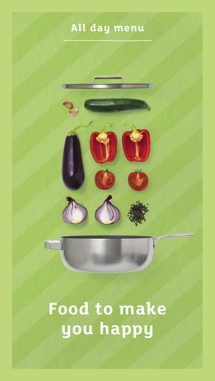### **All day menu**



# **Food to make you happy**

**CL**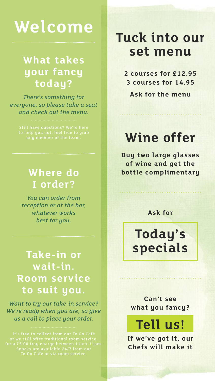## **Welcome**

### **What takes your fancy today?**

*There's something for everyone, so please take a seat and check out the menu.*

### **Where do I order?**

*You can order from reception or at the bar, whatever works best for you.*

### **Take-in or wait-in. Room service to suit you.**

*Want to try our take-in service? We're ready when you are, so give us a call to place your order.*

## **Tuck into our set menu**

**2 courses for £12.95 3 courses for 14.95**

**Ask for the menu**

## **Wine offer**

**Buy two large glasses of wine and get the bottle complimentary**

**Ask for**

## **Today's specials**

**Can't see what you fancy?**

**Tell us!**

**If we've got it, our Chefs will make it**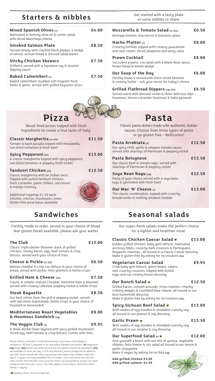### **Starters & nibbles**

| Mixed Spanish Olives $(v)$<br>Marinated in lemony olive oil & cumin seeds<br>with diced Manchego cheese                            | £4.00 |
|------------------------------------------------------------------------------------------------------------------------------------|-------|
| <b>Smoked Salmon Plate</b><br>Served simply with cracked black pepper, a wedge<br>of lemon, artisan bread & dressed salad leaves   | £8.50 |
| <b>Sticky Chicken Skewers</b><br>Grilled & served with a Japanese soy & sesame<br>dipping sauce                                    | £7.50 |
| <b>Baked Camembert</b> $(w)$<br>Baked camembert studded with fragrant fresh<br>herbs & garlic, served with grilled baguette slices | £7.50 |

Get started with a tasty plate or some nibbles to share.

| Mozzarella & Tomato Salad $(v)$ (Gs)<br>Heritage tomato, bocconcini & balsamic glaze                                                  | £6.50 |
|---------------------------------------------------------------------------------------------------------------------------------------|-------|
| Nacho Platter $\omega$<br>Crunchy tortillas topped with creamy quacamole<br>and sour cream, sliced jalapenos and zesty salsa          | £8.00 |
| <b>Prawn Cocktail</b><br>Succulent prawns, cos salad with a Marie Rose sauce,<br>brown bread & lemon wedge                            | £8.00 |
| <b>Our Soup of the Day</b><br>Freshly made & served with thick-sliced bloomer<br>& creamy butter - ask your server for today's choice | £6.00 |
| Grilled Flatbread Dippers $(vg)$ (24)<br>Served warm with dressed rocket & three delicious dips -                                     | £6.50 |



**Pizza** Wood-fired pizzas topped with fresh

ingredients to create a true taste of Italy.

| Classic Margherita (v) (24)<br>Tomato & basil passata topped with mozzarella,<br>sun dried tomatoes & fresh basil      | £11.50 |
|------------------------------------------------------------------------------------------------------------------------|--------|
| Spicy Pepperoni (24)<br>A classic margherita topped with spicy pepperoni,<br>sun dried tomatoes & peppery fresh rocket | £13.00 |
| Tandoori Chicken (24)<br>Classic margherita with an Indian twist.<br>Topped with pulled tandoori chicken               | £12.50 |

Topped with pulled tandoori chicken, fresh coriander, green chillies, red onions & mango chutney



### **Sandwiches**

**The Club £12.00** Freshly made to order, served in your choice of bread. Non gluten bread available, please ask your waiter.

#### Classic triple-decker bloomer stack of grilled chicken, smoky bacon, egg, beef tomato & crisp lettuce, served with your choice of fries **Cheese & Pickle (v) (24) £6.50** Mature cheddar & crisp cos lettuce in your choice of

bread, served with pickle, mini gherkins & kettle crisps **Grilled Ham & Cheese (24) £7.50** Classic & simple: mature Cheddar, Yorkshire ham & bloomer, served with creamy coleslaw, peppery rocket & kettle crisps

#### **Steak Baguette £8.50** Our best sirloin from the grill & peppery rocket, served

with red onion marmalade, kettle crisps & your choice of mustard or horseradish

#### **Mediterranean Roast Vegetables £8.00 & Houmous Sandwich (vg)**

#### The Veggie Club (v) **E9.95**

A three-decker feast layered with juicy grilled mushroom, sliced egg, beef tomato & crisp lettuce. Comes with fries.

Please inform a member of staff before dining if you have a food allergy intolerance. All food is prepared in an area where allergens are present. **(v)** Vegetarian **(vg)** Vegan **(Gs)** Dishes are produced utilising non-gluten containing ingredients **(24)** are available 24 hours per day. A 10% discretionary service charge will be added to your bill. Prices include VAT. Kids stay and eat free means that children under the age of 13 years can enjoy breakfast free of charge. Lunch and dinner are also free when chosen from the kids' menu and the child is accompanied by at least one adult eating at least one main course. This offer applies to the hotel in which the child's familu is stauing

#### **Pasta** Classic pasta dishes made with authentic Italian

houmous, lemon coriander houmous & baba ganoush

sauces. Choose from three types of pasta or go gluten free – Bellissimo!

| Pasta Arrabiata (v)                                                                                                   | £12.50 |
|-----------------------------------------------------------------------------------------------------------------------|--------|
| Our spicy chilli, garlic & oregano tomato sauce,<br>served with shavings of Parmesan & peppery rocket                 |        |
| <b>Pasta Bolognese</b><br>Our classic beef & tomato ragù, served with<br>shavings of Parmesan & peppery rocket        | £13.50 |
| Soya Bean Ragu (vg)<br>Pasta of your choice served with a soya bean<br>ragù & garnished with fresh basil              | £12.50 |
| <b>Our Mac 'N' Cheese (v)</b><br>The classic combination, topped with crunchy<br>breadcrumbs & melting smoked cheddar | £13.00 |

### **Seasonal salads**

Our super-fresh salads make the perfect choice for a lighter and healthier meal.

#### **Classic Chicken Caesar Salad £13.00**

Golden grilled chicken, baby gem lettuce, marinated anchovy fillets, crunchy herb croutons & Parmigiano Reggiano shavings , all tossed in a classic Caesar dressing. Make it gluten free by asking for no croutons **(Gs)**

#### **Vegetarian Caesar Salad £9.95**

Crisp baby gem lettuce, green beans, capers and crunchy croutons, topped with boiled eggs and our creamy house dressing.

#### **Our Ranch Salad • by E12.50**

Grilled bacon, smooth avocado, crisp croutons, chunky iceberg wedges & crumbled blue cheese, all tossed in our best buttermilk dressing

#### Make it gluten free by asking for no croutons **(Gs)**

**Spicy Sichuan Beef Salad • £13.00** 

With oodles of egg noodles & shredded crunchy veg, all tossed in our peanut & soy dressing

#### Garlic Prawn  $\bullet$  **E13.50**

With oodles of egg noodles & shredded crunchy veg, all tossed in our sesame & soy dressing

#### **Our Superfood Salad (v) £12.00**

Give yourself a boost with our mix of quinoa, vegetable ribbons, feta cheese & cos salad all tossed in our lemon & garlic vinaigrette

Make it vegan by asking for no feta **(vg)**

**Add grilled chicken £3.00 Add grilled salmon £4.50**

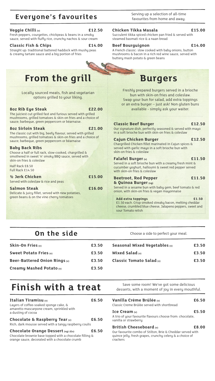### **Everyone's favourites**

Serving up a selection of all-time favourites from home and away.

#### **Veggie Chilli (v) £12.50**

Fresh peppers, courgettes, chickpeas & beans in a smoky sauce, served with fluffy rice, crunchy nachos & sour cream

**Classic Fish & Chips £14.00**

Straight up: traditional battered haddock with mushy peas & creamy tartare sauce and a big portion of fries



Locally sourced meats, fish and vegetarian options grilled to your liking.

#### **8oz Rib Eye Steak £22.00**

The juiciest cut grilled fast and furious served with grilled mushrooms, grilled tomatoes & skin-on fries and a choice of sauce; barbeque, green peppercorn or béarnaise.

#### **8oz Sirloin Steak £21.00**

The classic cut with big, beefy flavour, served with grilled mushrooms, grilled tomatoes & skin-on fries and a choice of sauce; barbeque, green peppercorn or béarnaise

#### **Baby Back Ribs**

Choose a half or full rack, slow-cooked, chargrilled & smothered in sweet 'n' smoky BBQ sauce, served with skin-on fries & coleslaw

Half Rack £8.50 Full Rack £14.50

| $\frac{1}{2}$ Jerk Chicken<br>Served with coleslaw & rice and peas | £15.00 |
|--------------------------------------------------------------------|--------|
| <b>Salmon Steak</b>                                                | £16.00 |
| Delicate & juicy fillet, served with new potatoes,                 |        |
| green beans & on the vine cherry tomatoes                          |        |

#### **Chicken Tikka Masala £15.00**

Succulent tikka spiced chicken pan fried & served with steamed basmati rice & a naan bread

#### **Beef Bourguignon £14.00**

A French classic: slow cooked with baby onions, button mushrooms & bacon in a rich red wine sauce, served with buttery mash potato & green beans

Freshly prepared burgers served in a brioche bun with skin-on fries and coleslaw. Swap your bun for salad, add extra toppings or an extra burger – just ask! Non gluten buns available - simply ask your waiter.

#### **Classic Beef Burger £12.50**

Our signature dish, perfectly seasoned & served with mayo in a soft brioche bun with skin-on fries & coleslaw

**Cajun Chicken Burger £12.50** Chargrilled Chicken fillet marinated in Cajun spices & served with garlic mayo in a soft brioche bun with skin-on fries & coleslaw

| <b>Falafel Burger (v)</b>                                      | £11.50 |
|----------------------------------------------------------------|--------|
| Served in a soft brioche bun with a creamy fresh mint $\alpha$ |        |
| cucumber yoghurt, halloumi & sweet red pepper served           |        |
| with skin-on fries & coleslaw                                  |        |

#### **Beetroot, Red Pepper £11.50 & Quinoa Burger (vg)**

Served in a sesame bun with baby gem, beef tomato & red onion, with skin-on fries & vegan mayonnaise

**Add extra toppings £1.50** £1.50 each. Crisp smoked streaky bacon, melting cheddar cheese, crumbled blue cheese, Jalapeno peppers, sweet and sour Tomato relish

**On the side** Choose a side to perfect your meal.

| <b>Skin-On Fries</b> $(v)$      | £3.50 | Seasonal Mixed Vegetables (v) | £3.50 |
|---------------------------------|-------|-------------------------------|-------|
| Sweet Potato Fries $(w)$        | £3.50 | Mixed Salad $(w)$             | £3.50 |
| Beer-Battered Onion Rings $(v)$ | £3.50 | Classic Tomato Salad $\omega$ | £3.50 |
| Creamy Mashed Potato $\omega$   | £3.50 |                               |       |
|                                 |       |                               |       |

### **Finish with a treat** Save some room! We've got some delicious

| Italian Tiramisu $\omega$<br>Layers of coffee-soaked sponge cake, &<br>amaretto mascarpone cream, sprinkled with<br>a dusting of cocoa           | £6.50 |
|--------------------------------------------------------------------------------------------------------------------------------------------------|-------|
| Chocolate & Raspberry Tear $\omega$<br>Rich, dark mousse served with a tangu raspberry coulis                                                    | £6.50 |
| Chocolate Orange Dessert (vg) (Gs)<br>Chocolate brownie base topped with a chocolate filling &<br>orange sauce, decorated with a chocolate crumb | £6.50 |

desserts, with a moment of joy in every mouthful.

|   | Vanilla Crème Brûlée (v)<br>£6.50<br>Classic Creme Brûlée served with shortbread                                                                                            |  |
|---|-----------------------------------------------------------------------------------------------------------------------------------------------------------------------------|--|
| D | £5.50<br>Ice Cream $(w)$<br>A trio of your favourite flavours choose from: chocolate,<br>vanilla or strawberru                                                              |  |
| D | British Cheeseboard $\omega$<br>£8.00<br>Our favourite combo of Stilton, Brie & Cheddar served with<br>quince jelly, fresh grapes, crunchy celery & a choice of<br>crackers |  |